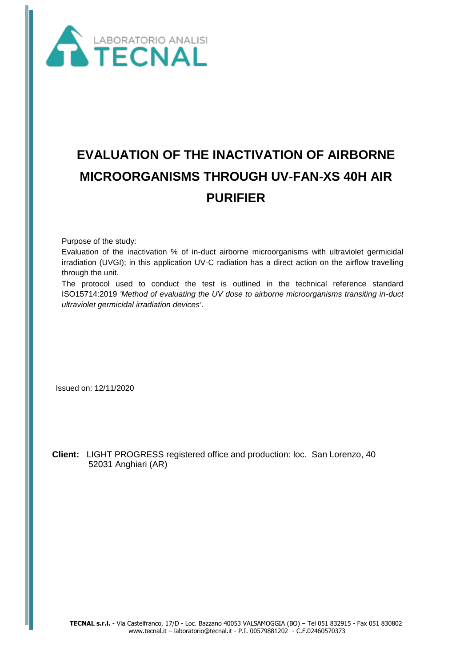

# **EVALUATION OF THE INACTIVATION OF AIRBORNE MICROORGANISMS THROUGH UV-FAN-XS 40H AIR PURIFIER**

Purpose of the study:

Evaluation of the inactivation % of in-duct airborne microorganisms with ultraviolet germicidal irradiation (UVGI); in this application UV-C radiation has a direct action on the airflow travelling through the unit.

The protocol used to conduct the test is outlined in the technical reference standard ISO15714:2019 *'Method of evaluating the UV dose to airborne microorganisms transiting in-duct ultraviolet germicidal irradiation devices'*.

Issued on: 12/11/2020

 **Client:** LIGHT PROGRESS registered office and production: loc. San Lorenzo, 40 52031 Anghiari (AR)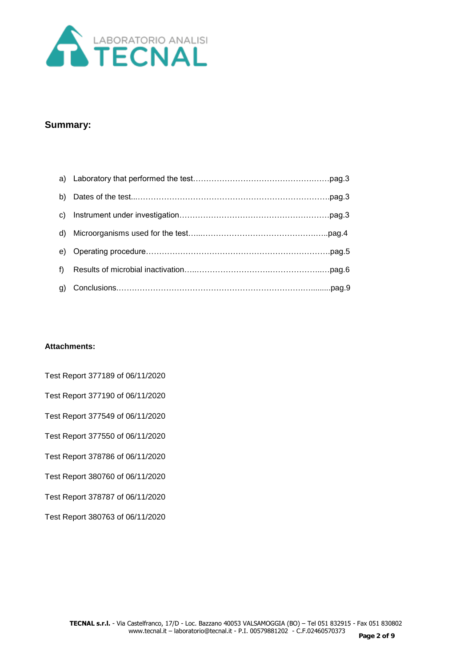

# **Summary:**

| b)    |  |
|-------|--|
| C)    |  |
| d)    |  |
| e)    |  |
| $f$ ) |  |
| g)    |  |

#### **Attachments:**

Test Report 377189 of 06/11/2020 Test Report 377190 of 06/11/2020 Test Report 377549 of 06/11/2020 Test Report 377550 of 06/11/2020 Test Report 378786 of 06/11/2020 Test Report 380760 of 06/11/2020 Test Report 378787 of 06/11/2020 Test Report 380763 of 06/11/2020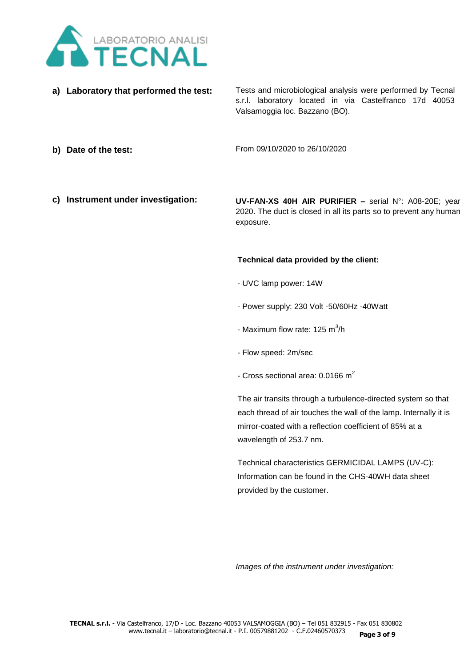

**a) Laboratory that performed the test:**

Tests and microbiological analysis were performed by Tecnal s.r.l. laboratory located in via Castelfranco 17d 40053 Valsamoggia loc. Bazzano (BO).

**b) Date of the test:**

From 09/10/2020 to 26/10/2020

**c) Instrument under investigation:**

**UV-FAN-XS 40H AIR PURIFIER –** serial N°: A08-20E; year 2020. The duct is closed in all its parts so to prevent any human exposure.

#### **Technical data provided by the client:**

- UVC lamp power: 14W
- Power supply: 230 Volt -50/60Hz -40Watt
- Maximum flow rate: 125 m<sup>3</sup>/h
- Flow speed: 2m/sec
- Cross sectional area:  $0.0166$  m<sup>2</sup>

The air transits through a turbulence-directed system so that each thread of air touches the wall of the lamp. Internally it is mirror-coated with a reflection coefficient of 85% at a wavelength of 253.7 nm.

Technical characteristics GERMICIDAL LAMPS (UV-C): Information can be found in the CHS-40WH data sheet provided by the customer.

*Images of the instrument under investigation:*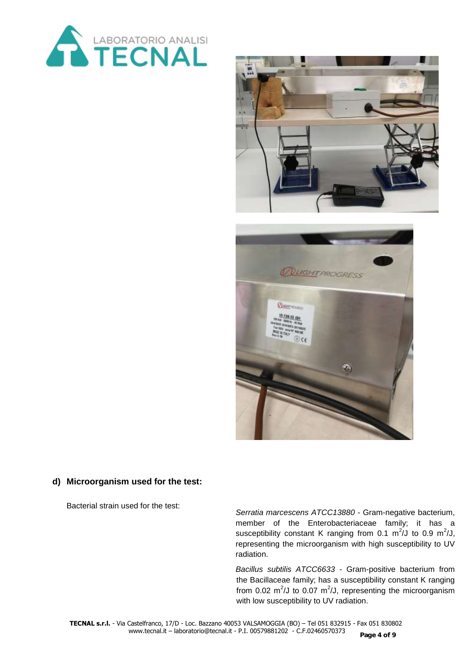



# **d) Microorganism used for the test:**

Bacterial strain used for the test:

*Serratia marcescens ATCC13880* - Gram-negative bacterium, member of the Enterobacteriaceae family; it has a susceptibility constant K ranging from 0.1  $\text{m}^2$ /J to 0.9  $\text{m}^2$ /J, representing the microorganism with high susceptibility to UV radiation.

*Bacillus subtilis ATCC6633* - Gram-positive bacterium from the Bacillaceae family; has a susceptibility constant K ranging from 0.02  $m^2$ /J to 0.07  $m^2$ /J, representing the microorganism with low susceptibility to UV radiation.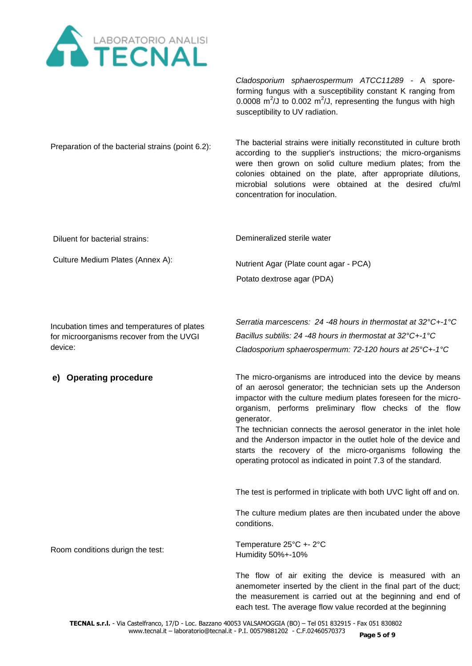

*Cladosporium sphaerospermum ATCC11289* - A sporeforming fungus with a susceptibility constant K ranging from 0.0008  $m^2$ /J to 0.002  $m^2$ /J, representing the fungus with high susceptibility to UV radiation.

Preparation of the bacterial strains (point 6.2): The bacterial strains were initially reconstituted in culture broth according to the supplier's instructions; the micro-organisms were then grown on solid culture medium plates; from the colonies obtained on the plate, after appropriate dilutions, microbial solutions were obtained at the desired cfu/ml concentration for inoculation.

Diluent for bacterial strains:

Demineralized sterile water

Culture Medium Plates (Annex A):

Potato dextrose agar (PDA)

Nutrient Agar (Plate count agar - PCA)

Incubation times and temperatures of plates for microorganisms recover from the UVGI device:

# **e) Operating procedure**

*Bacillus subtilis: 24 -48 hours in thermostat at 32°C+-1°C Cladosporium sphaerospermum: 72-120 hours at 25°C+-1°C* 

*Serratia marcescens: 24 -48 hours in thermostat at 32°C+-1°C*

The micro-organisms are introduced into the device by means of an aerosol generator; the technician sets up the Anderson impactor with the culture medium plates foreseen for the microorganism, performs preliminary flow checks of the flow generator.

The technician connects the aerosol generator in the inlet hole and the Anderson impactor in the outlet hole of the device and starts the recovery of the micro-organisms following the operating protocol as indicated in point 7.3 of the standard.

The test is performed in triplicate with both UVC light off and on.

The culture medium plates are then incubated under the above conditions.

Room conditions durign the test:

Temperature 25°C +- 2°C Humidity 50%+-10%

The flow of air exiting the device is measured with an anemometer inserted by the client in the final part of the duct; the measurement is carried out at the beginning and end of each test. The average flow value recorded at the beginning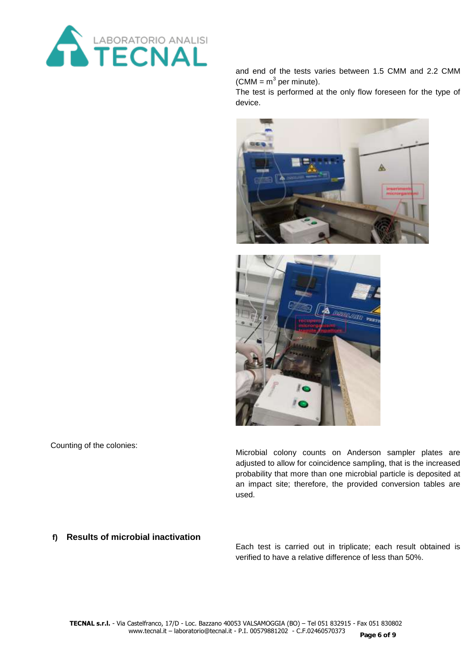

and end of the tests varies between 1.5 CMM and 2.2 CMM (CMM =  $m^3$  per minute).

The test is performed at the only flow foreseen for the type of device.





Counting of the colonies:

Microbial colony counts on Anderson sampler plates are adjusted to allow for coincidence sampling, that is the increased probability that more than one microbial particle is deposited at an impact site; therefore, the provided conversion tables are used.

#### **f) Results of microbial inactivation**

Each test is carried out in triplicate; each result obtained is verified to have a relative difference of less than 50%.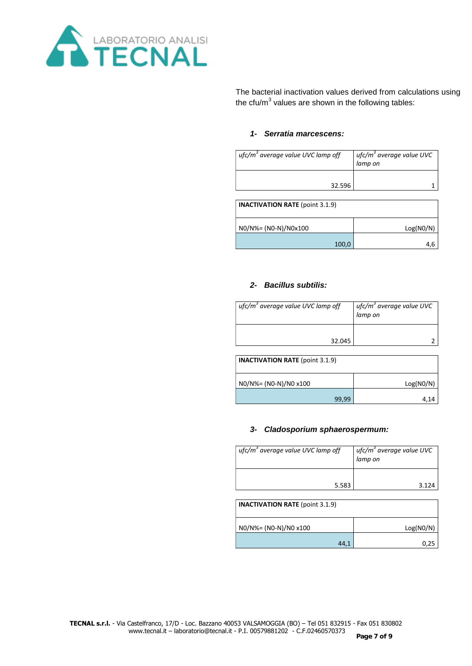

The bacterial inactivation values derived from calculations using the cfu/m<sup>3</sup> values are shown in the following tables:

#### *1- Serratia marcescens:*

| $ufc/m3$ average value UVC lamp off | ufc/m <sup>3</sup> average value UVC<br>lamp on |
|-------------------------------------|-------------------------------------------------|
| 32.596                              |                                                 |
|                                     |                                                 |

| <b>INACTIVATION RATE (point 3.1.9)</b> |           |
|----------------------------------------|-----------|
| $NO/N\% = (NO-N)/NOx100$               | Log(NO/N) |
| 100,0                                  | 4.6       |

## *2- Bacillus subtilis:*

| ufc/m <sup>3</sup> average value UVC lamp off | ufc/m <sup>3</sup> average value UVC<br>lamp on |
|-----------------------------------------------|-------------------------------------------------|
| 32.045                                        |                                                 |

| <b>INACTIVATION RATE</b> (point 3.1.9) |           |  |
|----------------------------------------|-----------|--|
| NO/N%= (NO-N)/NO x100                  | Log(NO/N) |  |
| 99.99                                  | 4.14      |  |

#### *3- Cladosporium sphaerospermum:*

| ufc/m <sup>3</sup> average value UVC lamp off | ufc/m <sup>3</sup> average value UVC<br>lamp on |
|-----------------------------------------------|-------------------------------------------------|
| 5.583                                         | 3.124                                           |

| <b>INACTIVATION RATE</b> (point 3.1.9) |           |
|----------------------------------------|-----------|
| N0/N%= (N0-N)/N0 x100                  | Log(NO/N) |
| 44,1                                   | 0.25      |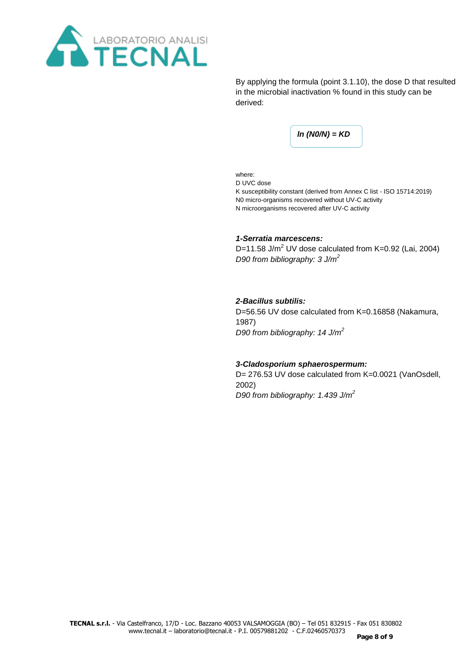

By applying the formula (point 3.1.10), the dose D that resulted in the microbial inactivation % found in this study can be derived:

*ln (N0/N) = KD*

where:

D UVC dose K susceptibility constant (derived from Annex C list - ISO 15714:2019) N0 micro-organisms recovered without UV-C activity N microorganisms recovered after UV-C activity

## *1-Serratia marcescens:*

D=11.58 J/m<sup>2</sup> UV dose calculated from K=0.92 (Lai, 2004) *D90 from bibliography: 3 J/m<sup>2</sup>*

## *2-Bacillus subtilis:*

D=56.56 UV dose calculated from K=0.16858 (Nakamura, 1987) *D90 from bibliography: 14 J/m<sup>2</sup>*

#### *3-Cladosporium sphaerospermum:*

D= 276.53 UV dose calculated from K=0.0021 (VanOsdell, 2002) *D90 from bibliography: 1.439 J/m<sup>2</sup>*